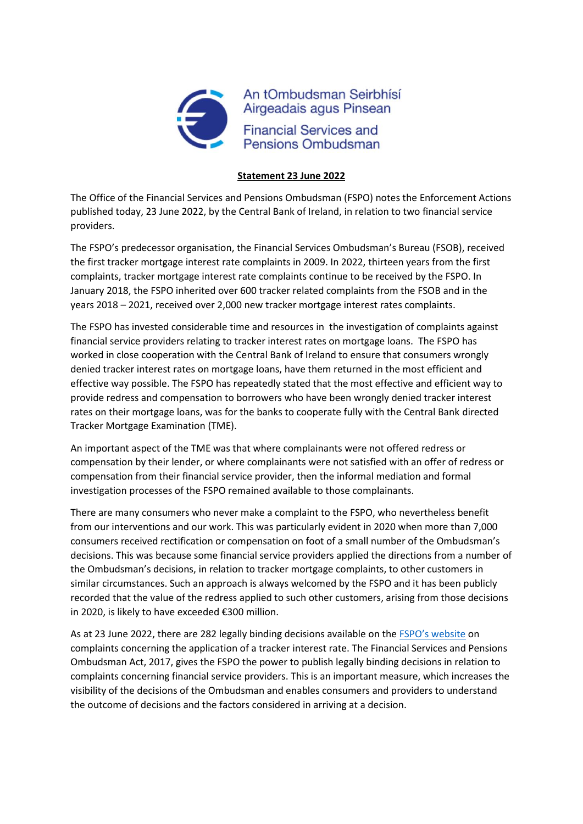

## **Statement 23 June 2022**

The Office of the Financial Services and Pensions Ombudsman (FSPO) notes the Enforcement Actions published today, 23 June 2022, by the Central Bank of Ireland, in relation to two financial service providers.

The FSPO's predecessor organisation, the Financial Services Ombudsman's Bureau (FSOB), received the first tracker mortgage interest rate complaints in 2009. In 2022, thirteen years from the first complaints, tracker mortgage interest rate complaints continue to be received by the FSPO. In January 2018, the FSPO inherited over 600 tracker related complaints from the FSOB and in the years 2018 – 2021, received over 2,000 new tracker mortgage interest rates complaints.

The FSPO has invested considerable time and resources in the investigation of complaints against financial service providers relating to tracker interest rates on mortgage loans. The FSPO has worked in close cooperation with the Central Bank of Ireland to ensure that consumers wrongly denied tracker interest rates on mortgage loans, have them returned in the most efficient and effective way possible. The FSPO has repeatedly stated that the most effective and efficient way to provide redress and compensation to borrowers who have been wrongly denied tracker interest rates on their mortgage loans, was for the banks to cooperate fully with the Central Bank directed Tracker Mortgage Examination (TME).

An important aspect of the TME was that where complainants were not offered redress or compensation by their lender, or where complainants were not satisfied with an offer of redress or compensation from their financial service provider, then the informal mediation and formal investigation processes of the FSPO remained available to those complainants.

There are many consumers who never make a complaint to the FSPO, who nevertheless benefit from our interventions and our work. This was particularly evident in 2020 when more than 7,000 consumers received rectification or compensation on foot of a small number of the Ombudsman's decisions. This was because some financial service providers applied the directions from a number of the Ombudsman's decisions, in relation to tracker mortgage complaints, to other customers in similar circumstances. Such an approach is always welcomed by the FSPO and it has been publicly recorded that the value of the redress applied to such other customers, arising from those decisions in 2020, is likely to have exceeded €300 million.

As at 23 June 2022, there are 282 legally binding decisions available on the [FSPO's website](https://www.fspo.ie/decisions/) on complaints concerning the application of a tracker interest rate. The Financial Services and Pensions Ombudsman Act, 2017, gives the FSPO the power to publish legally binding decisions in relation to complaints concerning financial service providers. This is an important measure, which increases the visibility of the decisions of the Ombudsman and enables consumers and providers to understand the outcome of decisions and the factors considered in arriving at a decision.